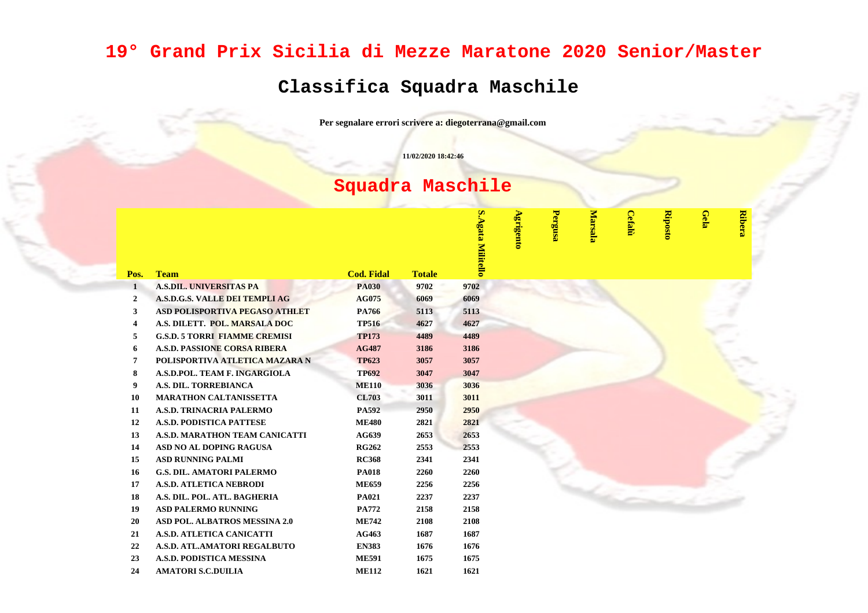## **19° Grand Prix Sicilia di Mezze Maratone 2020 Senior/Master**

## **Classifica Squadra Maschile**

**Per segnalare errori scrivere a: diegoterrana@gmail.com**

**11/02/2020 18:42:46**

## **Squadra Maschile**

| <b>Team</b><br><b>Cod. Fidal</b><br><b>Totale</b><br>Pos.<br><b>A.S.DIL. UNIVERSITAS PA</b><br>9702<br><b>PA030</b><br>9702<br>$\mathbf{1}$<br>A.S.D.G.S. VALLE DEI TEMPLI AG<br><b>AG075</b><br>6069<br>6069<br>$\overline{2}$<br><b>ASD POLISPORTIVA PEGASO ATHLET</b><br>PA766<br>5113<br>5113<br>3<br>A.S. DILETT. POL. MARSALA DOC<br><b>TP516</b><br>4627<br>4627<br>4<br><b>G.S.D. 5 TORRI FIAMME CREMISI</b><br><b>TP173</b><br>4489<br>4489<br>5<br><b>A.S.D. PASSIONE CORSA RIBERA</b><br><b>AG487</b><br>3186<br>3186<br>6<br>POLISPORTIVA ATLETICA MAZARA N<br><b>TP623</b><br>3057<br>3057<br>7<br>A.S.D.POL. TEAM F. INGARGIOLA<br><b>TP692</b><br>3047<br>3047<br>8<br>A.S. DIL. TORREBIANCA<br><b>ME110</b><br>3036<br>3036<br>9<br><b>MARATHON CALTANISSETTA</b><br><b>CL703</b><br>3011<br>3011<br>10<br>A.S.D. TRINACRIA PALERMO<br>PA592<br>2950<br>2950<br>11<br>A.S.D. PODISTICA PATTESE<br><b>ME480</b><br>12<br>2821<br>2821<br>A.S.D. MARATHON TEAM CANICATTI<br>AG639<br>2653<br>13<br>2653<br>ASD NO AL DOPING RAGUSA<br><b>RG262</b><br>2553<br>2553<br>14<br><b>ASD RUNNING PALMI</b><br>15<br><b>RC368</b><br>2341<br>2341<br><b>G.S. DIL. AMATORI PALERMO</b><br>16<br><b>PA018</b><br>2260<br>2260<br>17<br><b>A.S.D. ATLETICA NEBRODI</b><br><b>ME659</b><br>2256<br>2256<br>A.S. DIL. POL. ATL. BAGHERIA<br>2237<br>18<br><b>PA021</b><br>2237<br><b>ASD PALERMO RUNNING</b><br>19<br>PA772<br>2158<br>2158<br>ASD POL. ALBATROS MESSINA 2.0<br><b>ME742</b><br>2108<br><b>20</b><br>2108<br>A.S.D. ATLETICA CANICATTI<br>AG463<br>1687<br>1687<br>21<br>22<br>A.S.D. ATL.AMATORI REGALBUTO<br><b>EN383</b><br>1676<br>1676<br>A.S.D. PODISTICA MESSINA<br>23<br><b>ME591</b><br>1675<br>1675<br><b>AMATORI S.C.DUILIA</b><br><b>ME112</b><br>1621<br>24<br>1621 |  |  | <b>S.Agata Milite</b> | Agrigento | Pergusa | Marsala | <b>Cefalù</b> | <b>Riposto</b> | Gela | <b>Ribe</b> |
|----------------------------------------------------------------------------------------------------------------------------------------------------------------------------------------------------------------------------------------------------------------------------------------------------------------------------------------------------------------------------------------------------------------------------------------------------------------------------------------------------------------------------------------------------------------------------------------------------------------------------------------------------------------------------------------------------------------------------------------------------------------------------------------------------------------------------------------------------------------------------------------------------------------------------------------------------------------------------------------------------------------------------------------------------------------------------------------------------------------------------------------------------------------------------------------------------------------------------------------------------------------------------------------------------------------------------------------------------------------------------------------------------------------------------------------------------------------------------------------------------------------------------------------------------------------------------------------------------------------------------------------------------------------------------------------------------------------------------------------------------------------------------------------------------|--|--|-----------------------|-----------|---------|---------|---------------|----------------|------|-------------|
|                                                                                                                                                                                                                                                                                                                                                                                                                                                                                                                                                                                                                                                                                                                                                                                                                                                                                                                                                                                                                                                                                                                                                                                                                                                                                                                                                                                                                                                                                                                                                                                                                                                                                                                                                                                                    |  |  |                       |           |         |         |               |                |      |             |
|                                                                                                                                                                                                                                                                                                                                                                                                                                                                                                                                                                                                                                                                                                                                                                                                                                                                                                                                                                                                                                                                                                                                                                                                                                                                                                                                                                                                                                                                                                                                                                                                                                                                                                                                                                                                    |  |  |                       |           |         |         |               |                |      |             |
|                                                                                                                                                                                                                                                                                                                                                                                                                                                                                                                                                                                                                                                                                                                                                                                                                                                                                                                                                                                                                                                                                                                                                                                                                                                                                                                                                                                                                                                                                                                                                                                                                                                                                                                                                                                                    |  |  |                       |           |         |         |               |                |      |             |
|                                                                                                                                                                                                                                                                                                                                                                                                                                                                                                                                                                                                                                                                                                                                                                                                                                                                                                                                                                                                                                                                                                                                                                                                                                                                                                                                                                                                                                                                                                                                                                                                                                                                                                                                                                                                    |  |  |                       |           |         |         |               |                |      |             |
|                                                                                                                                                                                                                                                                                                                                                                                                                                                                                                                                                                                                                                                                                                                                                                                                                                                                                                                                                                                                                                                                                                                                                                                                                                                                                                                                                                                                                                                                                                                                                                                                                                                                                                                                                                                                    |  |  |                       |           |         |         |               |                |      |             |
|                                                                                                                                                                                                                                                                                                                                                                                                                                                                                                                                                                                                                                                                                                                                                                                                                                                                                                                                                                                                                                                                                                                                                                                                                                                                                                                                                                                                                                                                                                                                                                                                                                                                                                                                                                                                    |  |  |                       |           |         |         |               |                |      |             |
|                                                                                                                                                                                                                                                                                                                                                                                                                                                                                                                                                                                                                                                                                                                                                                                                                                                                                                                                                                                                                                                                                                                                                                                                                                                                                                                                                                                                                                                                                                                                                                                                                                                                                                                                                                                                    |  |  |                       |           |         |         |               |                |      |             |
|                                                                                                                                                                                                                                                                                                                                                                                                                                                                                                                                                                                                                                                                                                                                                                                                                                                                                                                                                                                                                                                                                                                                                                                                                                                                                                                                                                                                                                                                                                                                                                                                                                                                                                                                                                                                    |  |  |                       |           |         |         |               |                |      |             |
|                                                                                                                                                                                                                                                                                                                                                                                                                                                                                                                                                                                                                                                                                                                                                                                                                                                                                                                                                                                                                                                                                                                                                                                                                                                                                                                                                                                                                                                                                                                                                                                                                                                                                                                                                                                                    |  |  |                       |           |         |         |               |                |      |             |
|                                                                                                                                                                                                                                                                                                                                                                                                                                                                                                                                                                                                                                                                                                                                                                                                                                                                                                                                                                                                                                                                                                                                                                                                                                                                                                                                                                                                                                                                                                                                                                                                                                                                                                                                                                                                    |  |  |                       |           |         |         |               |                |      |             |
|                                                                                                                                                                                                                                                                                                                                                                                                                                                                                                                                                                                                                                                                                                                                                                                                                                                                                                                                                                                                                                                                                                                                                                                                                                                                                                                                                                                                                                                                                                                                                                                                                                                                                                                                                                                                    |  |  |                       |           |         |         |               |                |      |             |
|                                                                                                                                                                                                                                                                                                                                                                                                                                                                                                                                                                                                                                                                                                                                                                                                                                                                                                                                                                                                                                                                                                                                                                                                                                                                                                                                                                                                                                                                                                                                                                                                                                                                                                                                                                                                    |  |  |                       |           |         |         |               |                |      |             |
|                                                                                                                                                                                                                                                                                                                                                                                                                                                                                                                                                                                                                                                                                                                                                                                                                                                                                                                                                                                                                                                                                                                                                                                                                                                                                                                                                                                                                                                                                                                                                                                                                                                                                                                                                                                                    |  |  |                       |           |         |         |               |                |      |             |
|                                                                                                                                                                                                                                                                                                                                                                                                                                                                                                                                                                                                                                                                                                                                                                                                                                                                                                                                                                                                                                                                                                                                                                                                                                                                                                                                                                                                                                                                                                                                                                                                                                                                                                                                                                                                    |  |  |                       |           |         |         |               |                |      |             |
|                                                                                                                                                                                                                                                                                                                                                                                                                                                                                                                                                                                                                                                                                                                                                                                                                                                                                                                                                                                                                                                                                                                                                                                                                                                                                                                                                                                                                                                                                                                                                                                                                                                                                                                                                                                                    |  |  |                       |           |         |         |               |                |      |             |
|                                                                                                                                                                                                                                                                                                                                                                                                                                                                                                                                                                                                                                                                                                                                                                                                                                                                                                                                                                                                                                                                                                                                                                                                                                                                                                                                                                                                                                                                                                                                                                                                                                                                                                                                                                                                    |  |  |                       |           |         |         |               |                |      |             |
|                                                                                                                                                                                                                                                                                                                                                                                                                                                                                                                                                                                                                                                                                                                                                                                                                                                                                                                                                                                                                                                                                                                                                                                                                                                                                                                                                                                                                                                                                                                                                                                                                                                                                                                                                                                                    |  |  |                       |           |         |         |               |                |      |             |
|                                                                                                                                                                                                                                                                                                                                                                                                                                                                                                                                                                                                                                                                                                                                                                                                                                                                                                                                                                                                                                                                                                                                                                                                                                                                                                                                                                                                                                                                                                                                                                                                                                                                                                                                                                                                    |  |  |                       |           |         |         |               |                |      |             |
|                                                                                                                                                                                                                                                                                                                                                                                                                                                                                                                                                                                                                                                                                                                                                                                                                                                                                                                                                                                                                                                                                                                                                                                                                                                                                                                                                                                                                                                                                                                                                                                                                                                                                                                                                                                                    |  |  |                       |           |         |         |               |                |      |             |
|                                                                                                                                                                                                                                                                                                                                                                                                                                                                                                                                                                                                                                                                                                                                                                                                                                                                                                                                                                                                                                                                                                                                                                                                                                                                                                                                                                                                                                                                                                                                                                                                                                                                                                                                                                                                    |  |  |                       |           |         |         |               |                |      |             |
|                                                                                                                                                                                                                                                                                                                                                                                                                                                                                                                                                                                                                                                                                                                                                                                                                                                                                                                                                                                                                                                                                                                                                                                                                                                                                                                                                                                                                                                                                                                                                                                                                                                                                                                                                                                                    |  |  |                       |           |         |         |               |                |      |             |
|                                                                                                                                                                                                                                                                                                                                                                                                                                                                                                                                                                                                                                                                                                                                                                                                                                                                                                                                                                                                                                                                                                                                                                                                                                                                                                                                                                                                                                                                                                                                                                                                                                                                                                                                                                                                    |  |  |                       |           |         |         |               |                |      |             |
|                                                                                                                                                                                                                                                                                                                                                                                                                                                                                                                                                                                                                                                                                                                                                                                                                                                                                                                                                                                                                                                                                                                                                                                                                                                                                                                                                                                                                                                                                                                                                                                                                                                                                                                                                                                                    |  |  |                       |           |         |         |               |                |      |             |
|                                                                                                                                                                                                                                                                                                                                                                                                                                                                                                                                                                                                                                                                                                                                                                                                                                                                                                                                                                                                                                                                                                                                                                                                                                                                                                                                                                                                                                                                                                                                                                                                                                                                                                                                                                                                    |  |  |                       |           |         |         |               |                |      |             |
|                                                                                                                                                                                                                                                                                                                                                                                                                                                                                                                                                                                                                                                                                                                                                                                                                                                                                                                                                                                                                                                                                                                                                                                                                                                                                                                                                                                                                                                                                                                                                                                                                                                                                                                                                                                                    |  |  |                       |           |         |         |               |                |      |             |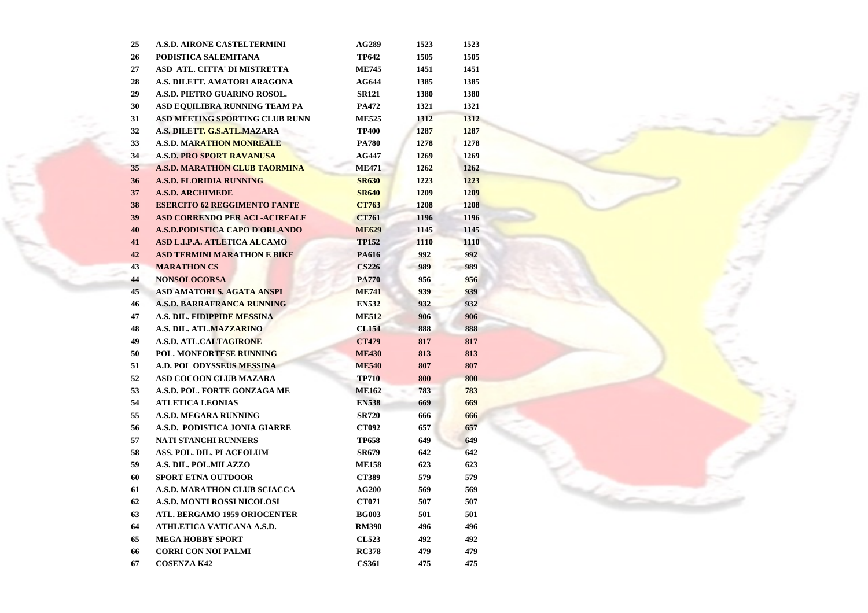| 25 | <b>A.S.D. AIRONE CASTELTERMINI</b>         | <b>AG289</b> | 1523 | 1523 |
|----|--------------------------------------------|--------------|------|------|
| 26 | PODISTICA SALEMITANA                       | <b>TP642</b> | 1505 | 1505 |
| 27 | ASD ATL. CITTA' DI MISTRETTA               | <b>ME745</b> | 1451 | 1451 |
| 28 | A.S. DILETT. AMATORI ARAGONA               | <b>AG644</b> | 1385 | 1385 |
| 29 | A.S.D. PIETRO GUARINO ROSOL.               | <b>SR121</b> | 1380 | 1380 |
| 30 | ASD EQUILIBRA RUNNING TEAM PA              | PA472        | 1321 | 1321 |
| 31 | <b>ASD MEETING SPORTING CLUB RUNN</b>      | <b>ME525</b> | 1312 | 1312 |
| 32 | A.S. DILET <mark>T. G.S.ATL.</mark> MAZARA | <b>TP400</b> | 1287 | 1287 |
| 33 | <b>A.S.D. MARATHON MONREALE</b>            | <b>PA780</b> | 1278 | 1278 |
| 34 | <b>A.S.D. PRO SPORT RAVANUSA</b>           | <b>AG447</b> | 1269 | 1269 |
| 35 | <b>A.S.D. MARATHON CLUB TAORMINA</b>       | <b>ME471</b> | 1262 | 1262 |
| 36 | <b>A.S.D. FLORIDIA RUNNING</b>             | <b>SR630</b> | 1223 | 1223 |
| 37 | <b>A.S.D. ARCHIMEDE</b>                    | <b>SR640</b> | 1209 | 1209 |
| 38 | <b>ESERCITO 62 REGGIMENTO FANTE</b>        | <b>CT763</b> | 1208 | 1208 |
| 39 | <b>ASD CORRENDO PER ACI-ACIREALE</b>       | <b>CT761</b> | 1196 | 1196 |
| 40 | <b>A.S.D.PODISTICA CAPO D'ORLANDO</b>      | <b>ME629</b> | 1145 | 1145 |
| 41 | ASD L.I.P.A. ATLETICA ALCAMO               | <b>TP152</b> | 1110 | 1110 |
| 42 | <b>ASD TERMINI MARATHON E BIKE</b>         | PA616        | 992  | 992  |
| 43 | <b>MARATHON CS</b>                         | <b>CS226</b> | 989  | 989  |
| 44 | <b>NONSOLOCORSA</b>                        | <b>PA770</b> | 956  | 956  |
| 45 | <b>ASD AMATORI S. AGATA ANSPI</b>          | <b>ME741</b> | 939  | 939  |
| 46 | <b>A.S.D. BARRAFRANCA RUNNING</b>          | <b>EN532</b> | 932  | 932  |
| 47 | A.S. DIL. FIDIPPIDE MESSINA                | <b>ME512</b> | 906  | 906  |
| 48 | <b>A.S. DIL. ATL.MAZZARINO</b>             | <b>CL154</b> | 888  | 888  |
| 49 | <b>A.S.D. ATL.CALTAGIRONE</b>              | <b>CT479</b> | 817  | 817  |
| 50 | POL. MONFORTESE RUNNING                    | <b>ME430</b> | 813  | 813  |
| 51 | <b>A.D. POL ODYSSEUS MESSINA</b>           | <b>ME540</b> | 807  | 807  |
| 52 | <b>ASD COCOON CLUB MAZARA</b>              | <b>TP710</b> | 800  | 800  |
| 53 | A.S.D. POL. FORTE GONZAGA ME               | <b>ME162</b> | 783  | 783  |
| 54 | <b>ATLETICA LEONIAS</b>                    | <b>EN538</b> | 669  | 669  |
| 55 | <b>A.S.D. MEGARA RUNNING</b>               | <b>SR720</b> | 666  | 666  |
| 56 | A.S.D. PODISTICA JONIA GIARRE              | <b>CT092</b> | 657  | 657  |
| 57 | <b>NATI STANCHI RUNNERS</b>                | <b>TP658</b> | 649  | 649  |
| 58 | ASS. POL. DIL. PLACEOLUM                   | SR679        | 642  | 642  |
| 59 | A.S. DIL. POL.MILAZZO                      | <b>ME158</b> | 623  | 623  |
| 60 | <b>SPORT ETNA OUTDOOR</b>                  | <b>CT389</b> | 579  | 579  |
| 61 | <b>A.S.D. MARATHON CLUB SCIACCA</b>        | <b>AG200</b> | 569  | 569  |
| 62 | <b>A.S.D. MONTI ROSSI NICOLOSI</b>         | CT071        | 507  | 507  |
| 63 | <b>ATL. BERGAMO 1959 ORIOCENTER</b>        | <b>BG003</b> | 501  | 501  |
| 64 | ATHLETICA VATICANA A.S.D.                  | <b>RM390</b> | 496  | 496  |
| 65 | <b>MEGA HOBBY SPORT</b>                    | <b>CL523</b> | 492  | 492  |
| 66 | <b>CORRI CON NOI PALMI</b>                 | <b>RC378</b> | 479  | 479  |
| 67 | <b>COSENZA K42</b>                         | <b>CS361</b> | 475  | 475  |